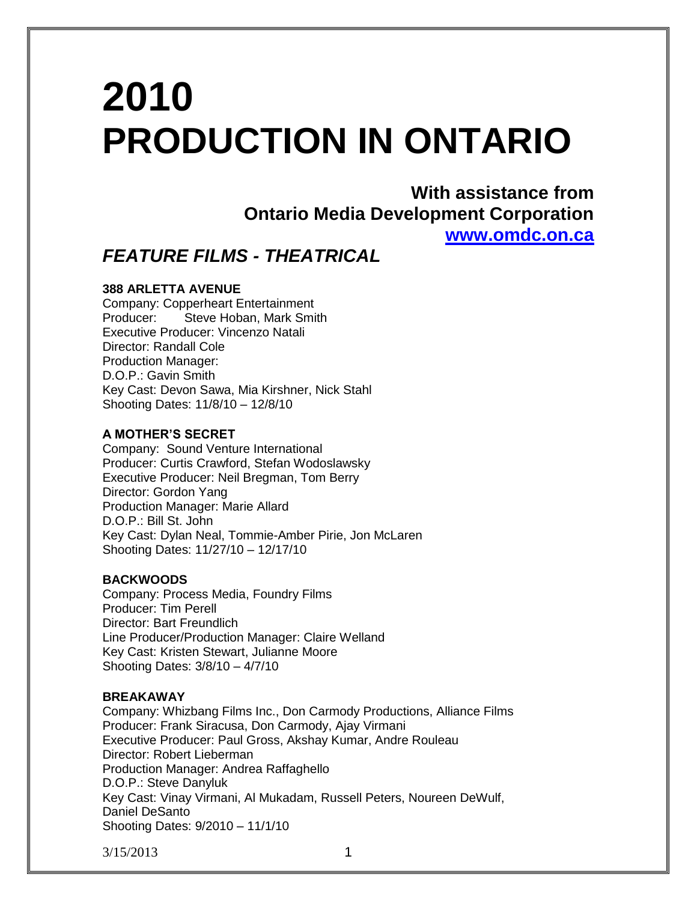# **2010 PRODUCTION IN ONTARIO**

**With assistance from Ontario Media Development Corporation [www.omdc.on.ca](http://www.omdc.on.ca/)**

# *FEATURE FILMS - THEATRICAL*

# **388 ARLETTA AVENUE**

Company: Copperheart Entertainment Producer: Steve Hoban, Mark Smith Executive Producer: Vincenzo Natali Director: Randall Cole Production Manager: D.O.P.: Gavin Smith Key Cast: Devon Sawa, Mia Kirshner, Nick Stahl Shooting Dates: 11/8/10 – 12/8/10

## **A MOTHER'S SECRET**

Company: Sound Venture International Producer: Curtis Crawford, Stefan Wodoslawsky Executive Producer: Neil Bregman, Tom Berry Director: Gordon Yang Production Manager: Marie Allard D.O.P.: Bill St. John Key Cast: Dylan Neal, Tommie-Amber Pirie, Jon McLaren Shooting Dates: 11/27/10 – 12/17/10

# **BACKWOODS**

Company: Process Media, Foundry Films Producer: Tim Perell Director: Bart Freundlich Line Producer/Production Manager: Claire Welland Key Cast: Kristen Stewart, Julianne Moore Shooting Dates: 3/8/10 – 4/7/10

#### **BREAKAWAY**

Company: Whizbang Films Inc., Don Carmody Productions, Alliance Films Producer: Frank Siracusa, Don Carmody, Ajay Virmani Executive Producer: Paul Gross, Akshay Kumar, Andre Rouleau Director: Robert Lieberman Production Manager: Andrea Raffaghello D.O.P.: Steve Danyluk Key Cast: Vinay Virmani, Al Mukadam, Russell Peters, Noureen DeWulf, Daniel DeSanto Shooting Dates: 9/2010 – 11/1/10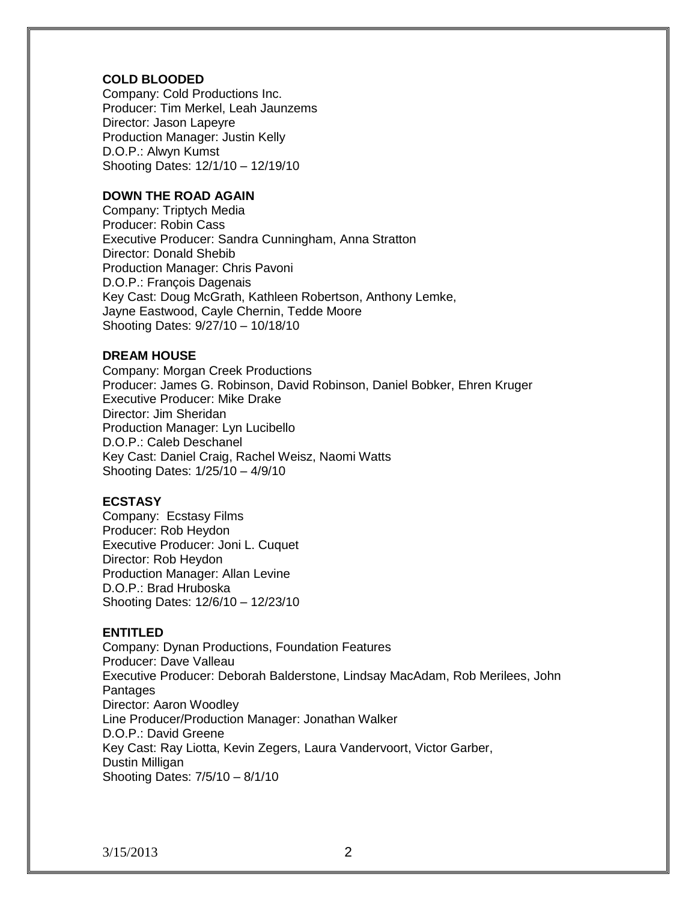#### **COLD BLOODED**

Company: Cold Productions Inc. Producer: Tim Merkel, Leah Jaunzems Director: Jason Lapeyre Production Manager: Justin Kelly D.O.P.: Alwyn Kumst Shooting Dates: 12/1/10 – 12/19/10

#### **DOWN THE ROAD AGAIN**

Company: Triptych Media Producer: Robin Cass Executive Producer: Sandra Cunningham, Anna Stratton Director: Donald Shebib Production Manager: Chris Pavoni D.O.P.: François Dagenais Key Cast: Doug McGrath, Kathleen Robertson, Anthony Lemke, Jayne Eastwood, Cayle Chernin, Tedde Moore Shooting Dates: 9/27/10 – 10/18/10

#### **DREAM HOUSE**

Company: Morgan Creek Productions Producer: James G. Robinson, David Robinson, Daniel Bobker, Ehren Kruger Executive Producer: Mike Drake Director: Jim Sheridan Production Manager: Lyn Lucibello D.O.P.: Caleb Deschanel Key Cast: Daniel Craig, Rachel Weisz, Naomi Watts Shooting Dates: 1/25/10 – 4/9/10

#### **ECSTASY**

Company: Ecstasy Films Producer: Rob Heydon Executive Producer: Joni L. Cuquet Director: Rob Heydon Production Manager: Allan Levine D.O.P.: Brad Hruboska Shooting Dates: 12/6/10 – 12/23/10

# **ENTITLED**

Company: Dynan Productions, Foundation Features Producer: Dave Valleau Executive Producer: Deborah Balderstone, Lindsay MacAdam, Rob Merilees, John **Pantages** Director: Aaron Woodley Line Producer/Production Manager: Jonathan Walker D.O.P.: David Greene Key Cast: Ray Liotta, Kevin Zegers, Laura Vandervoort, Victor Garber, Dustin Milligan Shooting Dates: 7/5/10 – 8/1/10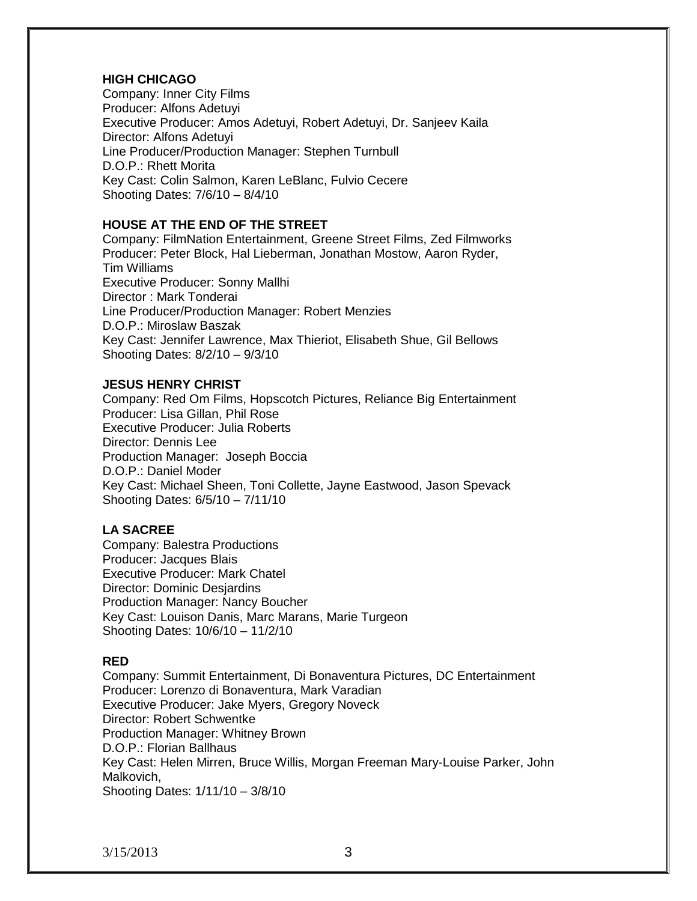# **HIGH CHICAGO**

Company: Inner City Films Producer: Alfons Adetuyi Executive Producer: Amos Adetuyi, Robert Adetuyi, Dr. Sanjeev Kaila Director: Alfons Adetuyi Line Producer/Production Manager: Stephen Turnbull D.O.P.: Rhett Morita Key Cast: Colin Salmon, Karen LeBlanc, Fulvio Cecere Shooting Dates: 7/6/10 – 8/4/10

# **HOUSE AT THE END OF THE STREET**

Company: FilmNation Entertainment, Greene Street Films, Zed Filmworks Producer: Peter Block, Hal Lieberman, Jonathan Mostow, Aaron Ryder, Tim Williams Executive Producer: Sonny Mallhi Director : Mark Tonderai Line Producer/Production Manager: Robert Menzies D.O.P.: Miroslaw Baszak Key Cast: Jennifer Lawrence, Max Thieriot, Elisabeth Shue, Gil Bellows Shooting Dates: 8/2/10 – 9/3/10

# **JESUS HENRY CHRIST**

Company: Red Om Films, Hopscotch Pictures, Reliance Big Entertainment Producer: Lisa Gillan, Phil Rose Executive Producer: Julia Roberts Director: Dennis Lee Production Manager: Joseph Boccia D.O.P.: Daniel Moder Key Cast: Michael Sheen, Toni Collette, Jayne Eastwood, Jason Spevack Shooting Dates: 6/5/10 – 7/11/10

# **LA SACREE**

Company: Balestra Productions Producer: Jacques Blais Executive Producer: Mark Chatel Director: Dominic Desjardins Production Manager: Nancy Boucher Key Cast: Louison Danis, Marc Marans, Marie Turgeon Shooting Dates: 10/6/10 – 11/2/10

#### **RED**

Company: Summit Entertainment, Di Bonaventura Pictures, DC Entertainment Producer: Lorenzo di Bonaventura, Mark Varadian Executive Producer: Jake Myers, Gregory Noveck Director: Robert Schwentke Production Manager: Whitney Brown D.O.P.: Florian Ballhaus Key Cast: Helen Mirren, Bruce Willis, Morgan Freeman Mary-Louise Parker, John Malkovich, Shooting Dates: 1/11/10 – 3/8/10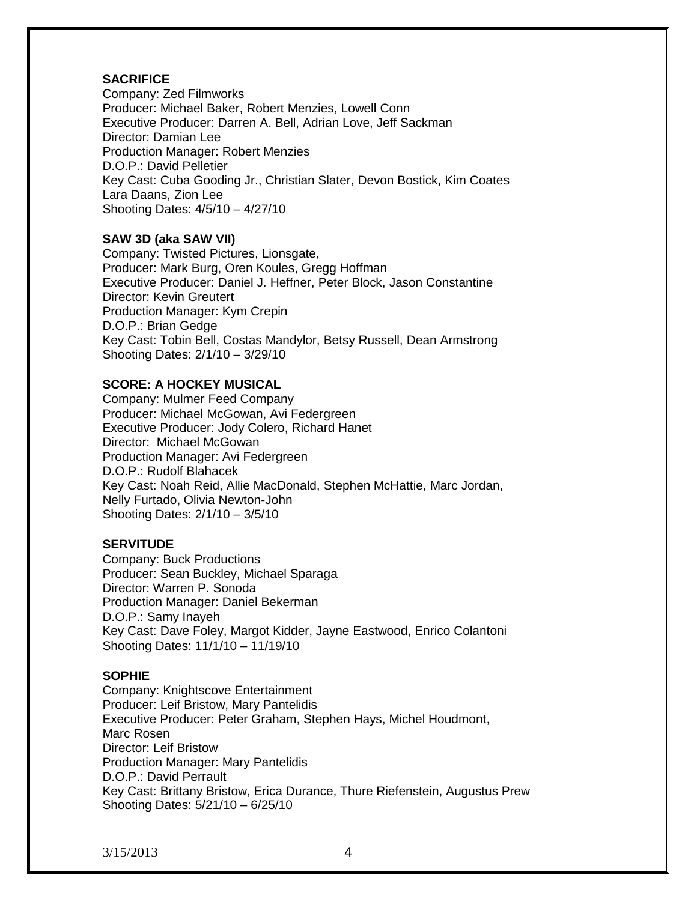# **SACRIFICE**

Company: Zed Filmworks Producer: Michael Baker, Robert Menzies, Lowell Conn Executive Producer: Darren A. Bell, Adrian Love, Jeff Sackman Director: Damian Lee Production Manager: Robert Menzies D.O.P.: David Pelletier Key Cast: Cuba Gooding Jr., Christian Slater, Devon Bostick, Kim Coates Lara Daans, Zion Lee Shooting Dates: 4/5/10 – 4/27/10

# **SAW 3D (aka SAW VII)**

Company: Twisted Pictures, Lionsgate, Producer: Mark Burg, Oren Koules, Gregg Hoffman Executive Producer: Daniel J. Heffner, Peter Block, Jason Constantine Director: Kevin Greutert Production Manager: Kym Crepin D.O.P.: Brian Gedge Key Cast: Tobin Bell, Costas Mandylor, Betsy Russell, Dean Armstrong Shooting Dates: 2/1/10 – 3/29/10

# **SCORE: A HOCKEY MUSICAL**

Company: Mulmer Feed Company Producer: Michael McGowan, Avi Federgreen Executive Producer: Jody Colero, Richard Hanet Director: Michael McGowan Production Manager: Avi Federgreen D.O.P.: Rudolf Blahacek Key Cast: Noah Reid, Allie MacDonald, Stephen McHattie, Marc Jordan, Nelly Furtado, Olivia Newton-John Shooting Dates: 2/1/10 – 3/5/10

# **SERVITUDE**

Company: Buck Productions Producer: Sean Buckley, Michael Sparaga Director: Warren P. Sonoda Production Manager: Daniel Bekerman D.O.P.: Samy Inayeh Key Cast: Dave Foley, Margot Kidder, Jayne Eastwood, Enrico Colantoni Shooting Dates: 11/1/10 – 11/19/10

# **SOPHIE**

Company: Knightscove Entertainment Producer: Leif Bristow, Mary Pantelidis Executive Producer: Peter Graham, Stephen Hays, Michel Houdmont, Marc Rosen Director: Leif Bristow Production Manager: Mary Pantelidis D.O.P.: David Perrault Key Cast: Brittany Bristow, Erica Durance, Thure Riefenstein, Augustus Prew Shooting Dates: 5/21/10 – 6/25/10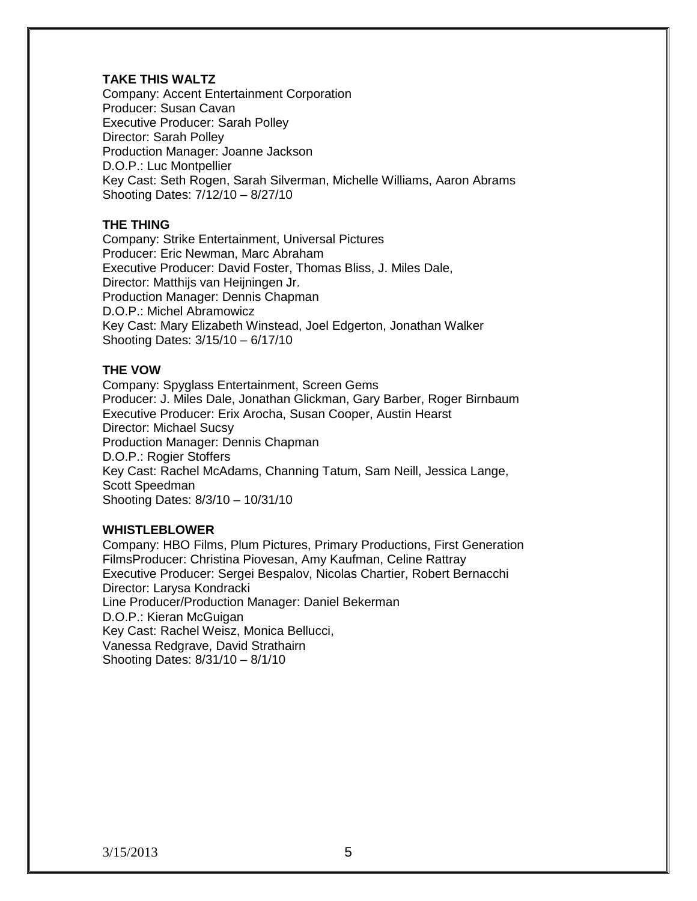# **TAKE THIS WALTZ**

Company: Accent Entertainment Corporation Producer: Susan Cavan Executive Producer: Sarah Polley Director: Sarah Polley Production Manager: Joanne Jackson D.O.P.: Luc Montpellier Key Cast: Seth Rogen, Sarah Silverman, Michelle Williams, Aaron Abrams Shooting Dates: 7/12/10 – 8/27/10

# **THE THING**

Company: Strike Entertainment, Universal Pictures Producer: Eric Newman, Marc Abraham Executive Producer: David Foster, Thomas Bliss, J. Miles Dale, Director: Matthijs van Heijningen Jr. Production Manager: Dennis Chapman D.O.P.: Michel Abramowicz Key Cast: Mary Elizabeth Winstead, Joel Edgerton, Jonathan Walker Shooting Dates: 3/15/10 – 6/17/10

# **THE VOW**

Company: Spyglass Entertainment, Screen Gems Producer: J. Miles Dale, Jonathan Glickman, Gary Barber, Roger Birnbaum Executive Producer: Erix Arocha, Susan Cooper, Austin Hearst Director: Michael Sucsy Production Manager: Dennis Chapman D.O.P.: Rogier Stoffers Key Cast: Rachel McAdams, Channing Tatum, Sam Neill, Jessica Lange, Scott Speedman Shooting Dates: 8/3/10 – 10/31/10

#### **WHISTLEBLOWER**

Company: HBO Films, Plum Pictures, Primary Productions, First Generation FilmsProducer: Christina Piovesan, Amy Kaufman, Celine Rattray Executive Producer: Sergei Bespalov, Nicolas Chartier, Robert Bernacchi Director: Larysa Kondracki Line Producer/Production Manager: Daniel Bekerman D.O.P.: Kieran McGuigan Key Cast: Rachel Weisz, Monica Bellucci, Vanessa Redgrave, David Strathairn Shooting Dates: 8/31/10 – 8/1/10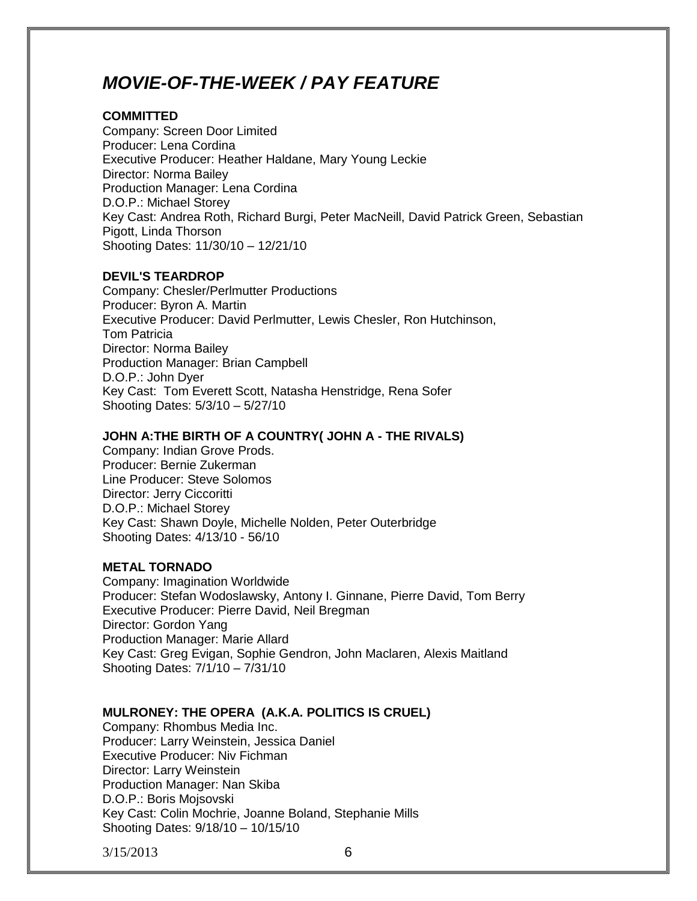# *MOVIE-OF-THE-WEEK / PAY FEATURE*

# **COMMITTED**

Company: Screen Door Limited Producer: Lena Cordina Executive Producer: Heather Haldane, Mary Young Leckie Director: Norma Bailey Production Manager: Lena Cordina D.O.P.: Michael Storey Key Cast: Andrea Roth, Richard Burgi, Peter MacNeill, David Patrick Green, Sebastian Pigott, Linda Thorson Shooting Dates: 11/30/10 – 12/21/10

# **DEVIL'S TEARDROP**

Company: Chesler/Perlmutter Productions Producer: Byron A. Martin Executive Producer: David Perlmutter, Lewis Chesler, Ron Hutchinson, Tom Patricia Director: Norma Bailey Production Manager: Brian Campbell D.O.P.: John Dyer Key Cast: Tom Everett Scott, Natasha Henstridge, Rena Sofer Shooting Dates: 5/3/10 – 5/27/10

# **JOHN A:THE BIRTH OF A COUNTRY( JOHN A - THE RIVALS)**

Company: Indian Grove Prods. Producer: Bernie Zukerman Line Producer: Steve Solomos Director: Jerry Ciccoritti D.O.P.: Michael Storey Key Cast: Shawn Doyle, Michelle Nolden, Peter Outerbridge Shooting Dates: 4/13/10 - 56/10

#### **METAL TORNADO**

Company: Imagination Worldwide Producer: Stefan Wodoslawsky, Antony I. Ginnane, Pierre David, Tom Berry Executive Producer: Pierre David, Neil Bregman Director: Gordon Yang Production Manager: Marie Allard Key Cast: Greg Evigan, Sophie Gendron, John Maclaren, Alexis Maitland Shooting Dates: 7/1/10 – 7/31/10

#### **MULRONEY: THE OPERA (A.K.A. POLITICS IS CRUEL)**

Company: Rhombus Media Inc. Producer: Larry Weinstein, Jessica Daniel Executive Producer: Niv Fichman Director: Larry Weinstein Production Manager: Nan Skiba D.O.P.: Boris Mojsovski Key Cast: Colin Mochrie, Joanne Boland, Stephanie Mills Shooting Dates: 9/18/10 – 10/15/10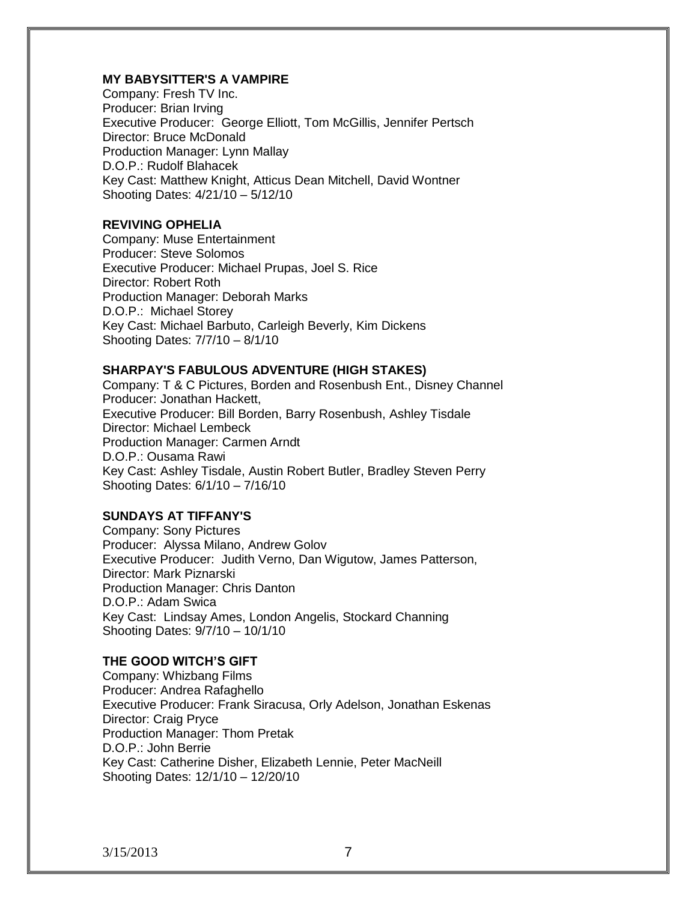## **MY BABYSITTER'S A VAMPIRE**

Company: Fresh TV Inc. Producer: Brian Irving Executive Producer: George Elliott, Tom McGillis, Jennifer Pertsch Director: Bruce McDonald Production Manager: Lynn Mallay D.O.P.: Rudolf Blahacek Key Cast: Matthew Knight, Atticus Dean Mitchell, David Wontner Shooting Dates: 4/21/10 – 5/12/10

# **REVIVING OPHELIA**

Company: Muse Entertainment Producer: Steve Solomos Executive Producer: Michael Prupas, Joel S. Rice Director: Robert Roth Production Manager: Deborah Marks D.O.P.: Michael Storey Key Cast: Michael Barbuto, Carleigh Beverly, Kim Dickens Shooting Dates: 7/7/10 – 8/1/10

# **SHARPAY'S FABULOUS ADVENTURE (HIGH STAKES)**

Company: T & C Pictures, Borden and Rosenbush Ent., Disney Channel Producer: Jonathan Hackett, Executive Producer: Bill Borden, Barry Rosenbush, Ashley Tisdale Director: Michael Lembeck Production Manager: Carmen Arndt D.O.P.: Ousama Rawi Key Cast: Ashley Tisdale, Austin Robert Butler, Bradley Steven Perry Shooting Dates: 6/1/10 – 7/16/10

# **SUNDAYS AT TIFFANY'S**

Company: Sony Pictures Producer: Alyssa Milano, Andrew Golov Executive Producer: Judith Verno, Dan Wigutow, James Patterson, Director: Mark Piznarski Production Manager: Chris Danton D.O.P.: Adam Swica Key Cast: Lindsay Ames, London Angelis, Stockard Channing Shooting Dates: 9/7/10 – 10/1/10

#### **THE GOOD WITCH'S GIFT**

Company: Whizbang Films Producer: Andrea Rafaghello Executive Producer: Frank Siracusa, Orly Adelson, Jonathan Eskenas Director: Craig Pryce Production Manager: Thom Pretak D.O.P.: John Berrie Key Cast: Catherine Disher, Elizabeth Lennie, Peter MacNeill Shooting Dates: 12/1/10 – 12/20/10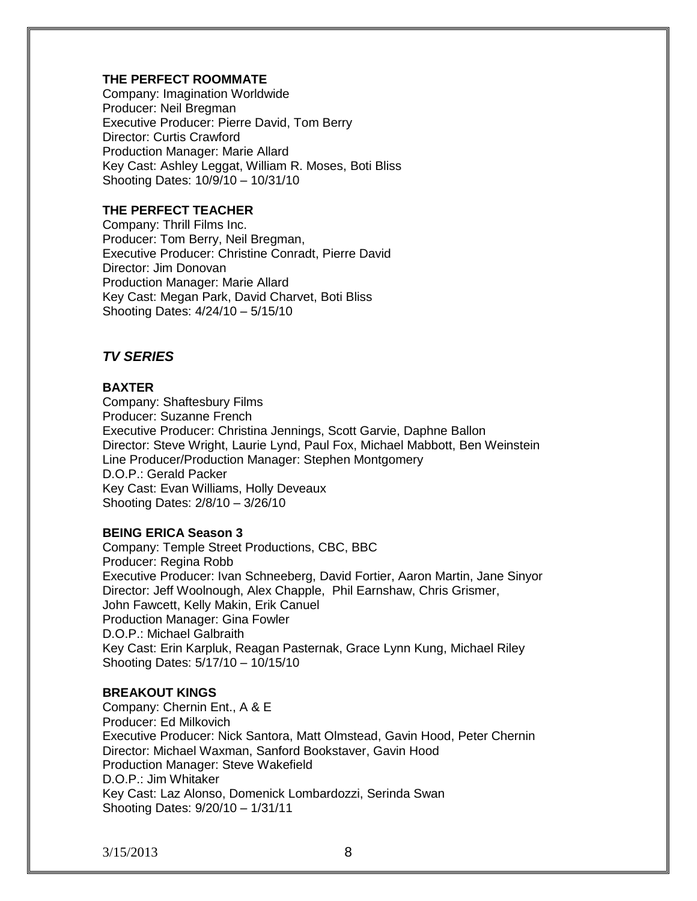# **THE PERFECT ROOMMATE**

Company: Imagination Worldwide Producer: Neil Bregman Executive Producer: Pierre David, Tom Berry Director: Curtis Crawford Production Manager: Marie Allard Key Cast: Ashley Leggat, William R. Moses, Boti Bliss Shooting Dates: 10/9/10 – 10/31/10

# **THE PERFECT TEACHER**

Company: Thrill Films Inc. Producer: Tom Berry, Neil Bregman, Executive Producer: Christine Conradt, Pierre David Director: Jim Donovan Production Manager: Marie Allard Key Cast: Megan Park, David Charvet, Boti Bliss Shooting Dates: 4/24/10 – 5/15/10

# *TV SERIES*

# **BAXTER**

Company: Shaftesbury Films Producer: Suzanne French Executive Producer: Christina Jennings, Scott Garvie, Daphne Ballon Director: Steve Wright, Laurie Lynd, Paul Fox, Michael Mabbott, Ben Weinstein Line Producer/Production Manager: Stephen Montgomery D.O.P.: Gerald Packer Key Cast: Evan Williams, Holly Deveaux Shooting Dates: 2/8/10 – 3/26/10

#### **BEING ERICA Season 3**

Company: Temple Street Productions, CBC, BBC Producer: Regina Robb Executive Producer: Ivan Schneeberg, David Fortier, Aaron Martin, Jane Sinyor Director: Jeff Woolnough, Alex Chapple, Phil Earnshaw, Chris Grismer, John Fawcett, Kelly Makin, Erik Canuel Production Manager: Gina Fowler D.O.P.: Michael Galbraith Key Cast: Erin Karpluk, Reagan Pasternak, Grace Lynn Kung, Michael Riley Shooting Dates: 5/17/10 – 10/15/10

# **BREAKOUT KINGS**

Company: Chernin Ent., A & E Producer: Ed Milkovich Executive Producer: Nick Santora, Matt Olmstead, Gavin Hood, Peter Chernin Director: Michael Waxman, Sanford Bookstaver, Gavin Hood Production Manager: Steve Wakefield D.O.P.: Jim Whitaker Key Cast: Laz Alonso, Domenick Lombardozzi, Serinda Swan Shooting Dates: 9/20/10 – 1/31/11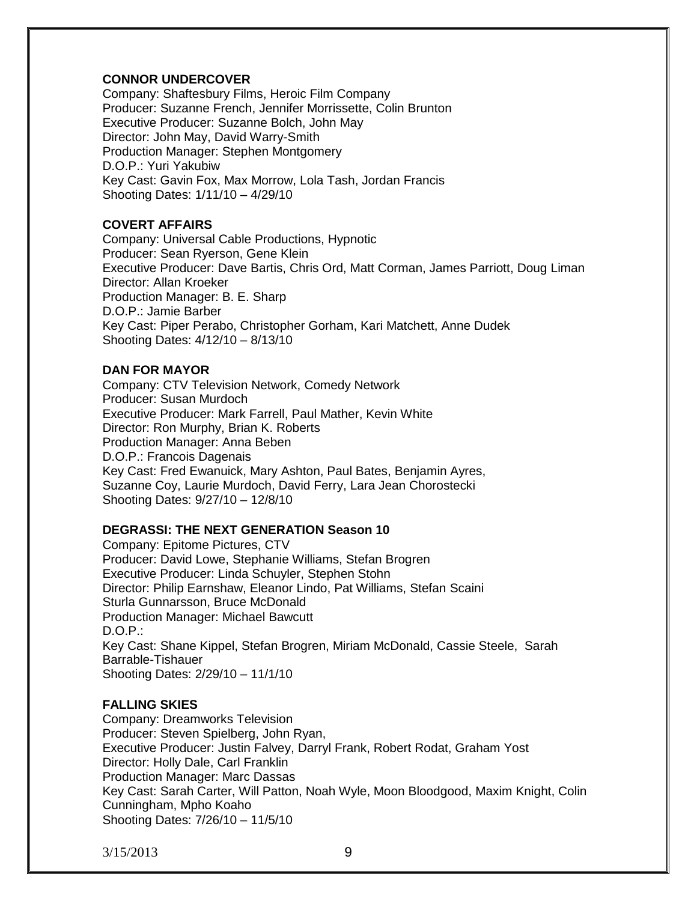# **CONNOR UNDERCOVER**

Company: Shaftesbury Films, Heroic Film Company Producer: Suzanne French, Jennifer Morrissette, Colin Brunton Executive Producer: Suzanne Bolch, John May Director: John May, David Warry-Smith Production Manager: Stephen Montgomery D.O.P.: Yuri Yakubiw Key Cast: Gavin Fox, Max Morrow, Lola Tash, Jordan Francis Shooting Dates: 1/11/10 – 4/29/10

# **COVERT AFFAIRS**

Company: Universal Cable Productions, Hypnotic Producer: Sean Ryerson, Gene Klein Executive Producer: Dave Bartis, Chris Ord, Matt Corman, James Parriott, Doug Liman Director: Allan Kroeker Production Manager: B. E. Sharp D.O.P.: Jamie Barber Key Cast: Piper Perabo, Christopher Gorham, Kari Matchett, Anne Dudek Shooting Dates: 4/12/10 – 8/13/10

# **DAN FOR MAYOR**

Company: CTV Television Network, Comedy Network Producer: Susan Murdoch Executive Producer: Mark Farrell, Paul Mather, Kevin White Director: Ron Murphy, Brian K. Roberts Production Manager: Anna Beben D.O.P.: Francois Dagenais Key Cast: Fred Ewanuick, Mary Ashton, Paul Bates, Benjamin Ayres, Suzanne Coy, Laurie Murdoch, David Ferry, Lara Jean Chorostecki Shooting Dates: 9/27/10 – 12/8/10

#### **DEGRASSI: THE NEXT GENERATION Season 10**

Company: Epitome Pictures, CTV Producer: David Lowe, Stephanie Williams, Stefan Brogren Executive Producer: Linda Schuyler, Stephen Stohn Director: Philip Earnshaw, Eleanor Lindo, Pat Williams, Stefan Scaini Sturla Gunnarsson, Bruce McDonald Production Manager: Michael Bawcutt D.O.P.: Key Cast: Shane Kippel, Stefan Brogren, Miriam McDonald, Cassie Steele, Sarah Barrable-Tishauer Shooting Dates: 2/29/10 – 11/1/10

# **FALLING SKIES**

Company: Dreamworks Television Producer: Steven Spielberg, John Ryan, Executive Producer: Justin Falvey, Darryl Frank, Robert Rodat, Graham Yost Director: Holly Dale, Carl Franklin Production Manager: Marc Dassas Key Cast: Sarah Carter, Will Patton, Noah Wyle, Moon Bloodgood, Maxim Knight, Colin Cunningham, Mpho Koaho Shooting Dates: 7/26/10 – 11/5/10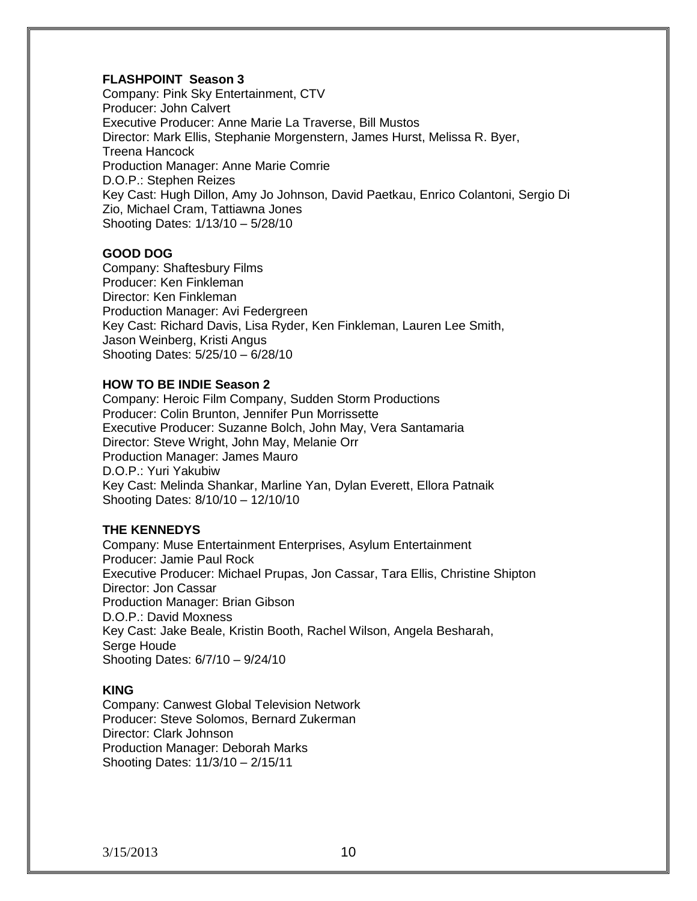# **FLASHPOINT Season 3**

Company: Pink Sky Entertainment, CTV Producer: John Calvert Executive Producer: Anne Marie La Traverse, Bill Mustos Director: Mark Ellis, Stephanie Morgenstern, James Hurst, Melissa R. Byer, Treena Hancock Production Manager: Anne Marie Comrie D.O.P.: Stephen Reizes Key Cast: Hugh Dillon, Amy Jo Johnson, David Paetkau, Enrico Colantoni, Sergio Di Zio, Michael Cram, Tattiawna Jones Shooting Dates: 1/13/10 – 5/28/10

# **GOOD DOG**

Company: Shaftesbury Films Producer: Ken Finkleman Director: Ken Finkleman Production Manager: Avi Federgreen Key Cast: Richard Davis, Lisa Ryder, Ken Finkleman, Lauren Lee Smith, Jason Weinberg, Kristi Angus Shooting Dates: 5/25/10 – 6/28/10

#### **HOW TO BE INDIE Season 2**

Company: Heroic Film Company, Sudden Storm Productions Producer: Colin Brunton, Jennifer Pun Morrissette Executive Producer: Suzanne Bolch, John May, Vera Santamaria Director: Steve Wright, John May, Melanie Orr Production Manager: James Mauro D.O.P.: Yuri Yakubiw Key Cast: Melinda Shankar, Marline Yan, Dylan Everett, Ellora Patnaik Shooting Dates: 8/10/10 – 12/10/10

#### **THE KENNEDYS**

Company: Muse Entertainment Enterprises, Asylum Entertainment Producer: Jamie Paul Rock Executive Producer: Michael Prupas, Jon Cassar, Tara Ellis, Christine Shipton Director: Jon Cassar Production Manager: Brian Gibson D.O.P.: David Moxness Key Cast: Jake Beale, Kristin Booth, Rachel Wilson, Angela Besharah, Serge Houde Shooting Dates: 6/7/10 – 9/24/10

#### **KING**

Company: Canwest Global Television Network Producer: Steve Solomos, Bernard Zukerman Director: Clark Johnson Production Manager: Deborah Marks Shooting Dates: 11/3/10 – 2/15/11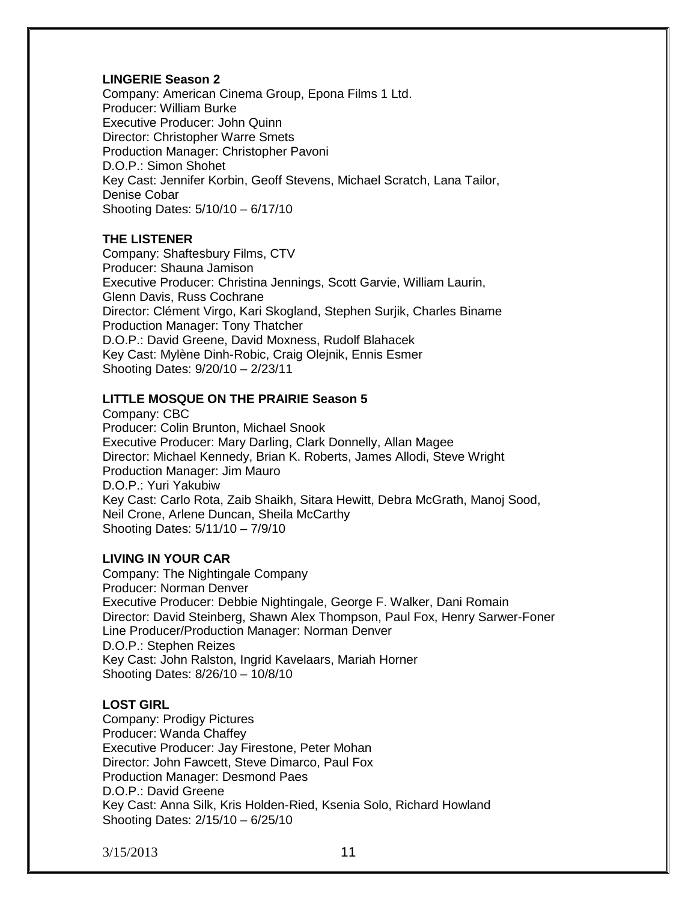# **LINGERIE Season 2**

Company: American Cinema Group, Epona Films 1 Ltd. Producer: William Burke Executive Producer: John Quinn Director: Christopher Warre Smets Production Manager: Christopher Pavoni D.O.P.: Simon Shohet Key Cast: Jennifer Korbin, Geoff Stevens, Michael Scratch, Lana Tailor, Denise Cobar Shooting Dates: 5/10/10 – 6/17/10

# **THE LISTENER**

Company: Shaftesbury Films, CTV Producer: Shauna Jamison Executive Producer: Christina Jennings, Scott Garvie, William Laurin, Glenn Davis, Russ Cochrane Director: Clément Virgo, Kari Skogland, Stephen Surjik, Charles Biname Production Manager: Tony Thatcher D.O.P.: David Greene, David Moxness, Rudolf Blahacek Key Cast: Mylène Dinh-Robic, Craig Olejnik, Ennis Esmer Shooting Dates: 9/20/10 – 2/23/11

#### **LITTLE MOSQUE ON THE PRAIRIE Season 5**

Company: CBC Producer: Colin Brunton, Michael Snook Executive Producer: Mary Darling, Clark Donnelly, Allan Magee Director: Michael Kennedy, Brian K. Roberts, James Allodi, Steve Wright Production Manager: Jim Mauro D.O.P.: Yuri Yakubiw Key Cast: Carlo Rota, Zaib Shaikh, Sitara Hewitt, Debra McGrath, Manoj Sood, Neil Crone, Arlene Duncan, Sheila McCarthy Shooting Dates: 5/11/10 – 7/9/10

# **LIVING IN YOUR CAR**

Company: The Nightingale Company Producer: Norman Denver Executive Producer: Debbie Nightingale, George F. Walker, Dani Romain Director: David Steinberg, Shawn Alex Thompson, Paul Fox, Henry Sarwer-Foner Line Producer/Production Manager: Norman Denver D.O.P.: Stephen Reizes Key Cast: John Ralston, Ingrid Kavelaars, Mariah Horner Shooting Dates: 8/26/10 – 10/8/10

# **LOST GIRL**

Company: Prodigy Pictures Producer: Wanda Chaffey Executive Producer: Jay Firestone, Peter Mohan Director: John Fawcett, Steve Dimarco, Paul Fox Production Manager: Desmond Paes D.O.P.: David Greene Key Cast: Anna Silk, Kris Holden-Ried, Ksenia Solo, Richard Howland Shooting Dates: 2/15/10 – 6/25/10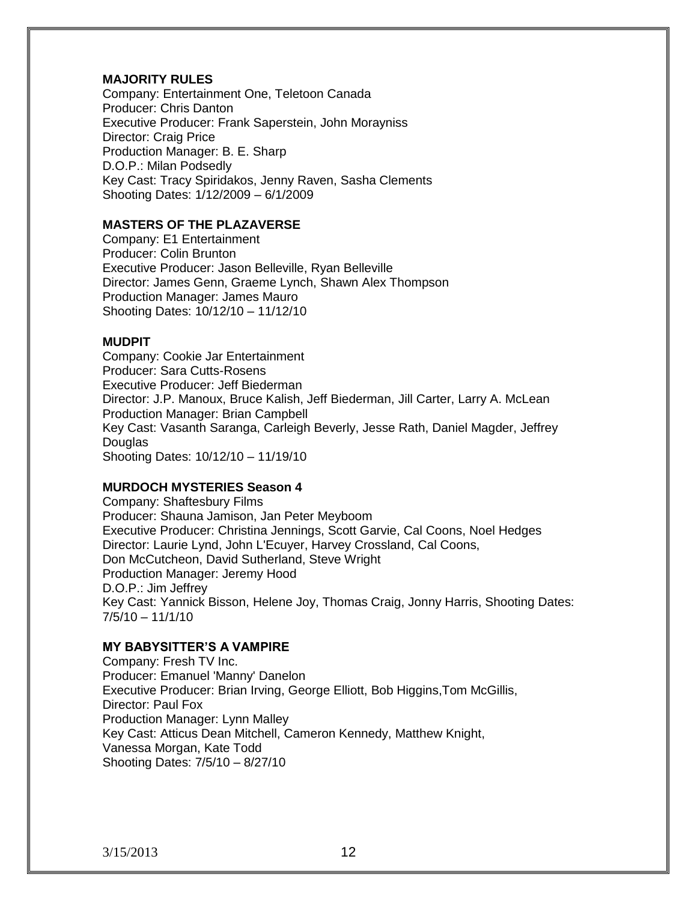# **MAJORITY RULES**

Company: Entertainment One, Teletoon Canada Producer: Chris Danton Executive Producer: Frank Saperstein, John Morayniss Director: Craig Price Production Manager: B. E. Sharp D.O.P.: Milan Podsedly Key Cast: Tracy Spiridakos, Jenny Raven, Sasha Clements Shooting Dates: 1/12/2009 – 6/1/2009

# **MASTERS OF THE PLAZAVERSE**

Company: E1 Entertainment Producer: Colin Brunton Executive Producer: Jason Belleville, Ryan Belleville Director: James Genn, Graeme Lynch, Shawn Alex Thompson Production Manager: James Mauro Shooting Dates: 10/12/10 – 11/12/10

# **MUDPIT**

Company: Cookie Jar Entertainment Producer: Sara Cutts-Rosens Executive Producer: Jeff Biederman Director: J.P. Manoux, Bruce Kalish, Jeff Biederman, Jill Carter, Larry A. McLean Production Manager: Brian Campbell Key Cast: Vasanth Saranga, Carleigh Beverly, Jesse Rath, Daniel Magder, Jeffrey **Douglas** Shooting Dates: 10/12/10 – 11/19/10

#### **MURDOCH MYSTERIES Season 4**

Company: Shaftesbury Films Producer: Shauna Jamison, Jan Peter Meyboom Executive Producer: Christina Jennings, Scott Garvie, Cal Coons, Noel Hedges Director: Laurie Lynd, John L'Ecuyer, Harvey Crossland, Cal Coons, Don McCutcheon, David Sutherland, Steve Wright Production Manager: Jeremy Hood D.O.P.: Jim Jeffrey Key Cast: Yannick Bisson, Helene Joy, Thomas Craig, Jonny Harris, Shooting Dates:  $7/5/10 - 11/1/10$ 

# **MY BABYSITTER'S A VAMPIRE**

Company: Fresh TV Inc. Producer: Emanuel 'Manny' Danelon Executive Producer: Brian Irving, George Elliott, Bob Higgins,Tom McGillis, Director: Paul Fox Production Manager: Lynn Malley Key Cast: Atticus Dean Mitchell, Cameron Kennedy, Matthew Knight, Vanessa Morgan, Kate Todd Shooting Dates: 7/5/10 – 8/27/10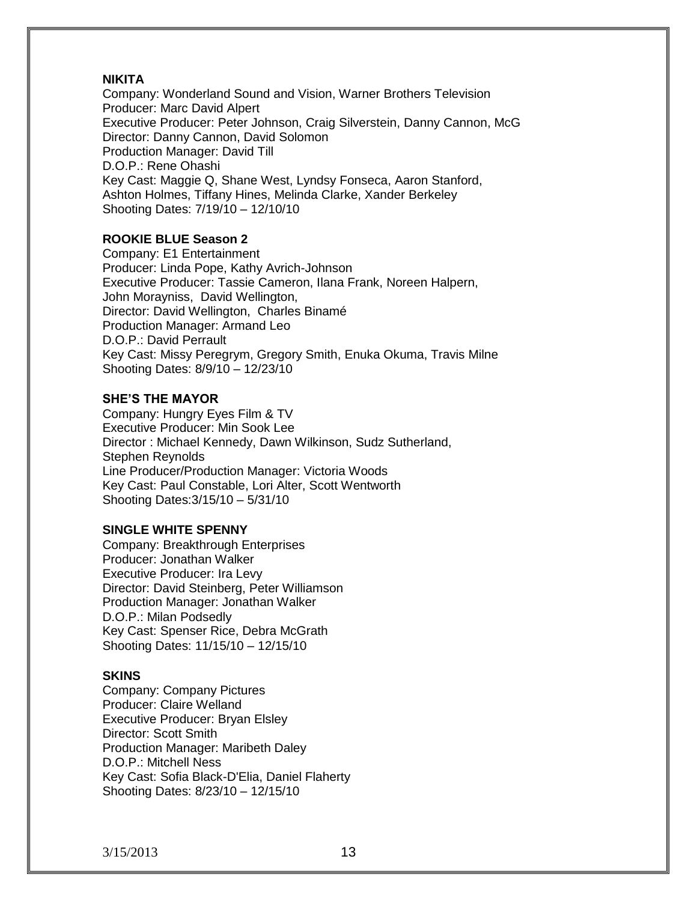## **NIKITA**

Company: Wonderland Sound and Vision, Warner Brothers Television Producer: Marc David Alpert Executive Producer: Peter Johnson, Craig Silverstein, Danny Cannon, McG Director: Danny Cannon, David Solomon Production Manager: David Till D.O.P.: Rene Ohashi Key Cast: Maggie Q, Shane West, Lyndsy Fonseca, Aaron Stanford, Ashton Holmes, Tiffany Hines, Melinda Clarke, Xander Berkeley Shooting Dates: 7/19/10 – 12/10/10

# **ROOKIE BLUE Season 2**

Company: E1 Entertainment Producer: Linda Pope, Kathy Avrich-Johnson Executive Producer: Tassie Cameron, Ilana Frank, Noreen Halpern, John Morayniss, David Wellington, Director: David Wellington, Charles Binamé Production Manager: Armand Leo D.O.P.: David Perrault Key Cast: Missy Peregrym, Gregory Smith, Enuka Okuma, Travis Milne Shooting Dates: 8/9/10 – 12/23/10

#### **SHE'S THE MAYOR**

Company: Hungry Eyes Film & TV Executive Producer: Min Sook Lee Director : Michael Kennedy, Dawn Wilkinson, Sudz Sutherland, Stephen Reynolds Line Producer/Production Manager: Victoria Woods Key Cast: Paul Constable, Lori Alter, Scott Wentworth Shooting Dates:3/15/10 – 5/31/10

#### **SINGLE WHITE SPENNY**

Company: Breakthrough Enterprises Producer: Jonathan Walker Executive Producer: Ira Levy Director: David Steinberg, Peter Williamson Production Manager: Jonathan Walker D.O.P.: Milan Podsedly Key Cast: Spenser Rice, Debra McGrath Shooting Dates: 11/15/10 – 12/15/10

#### **SKINS**

Company: Company Pictures Producer: Claire Welland Executive Producer: Bryan Elsley Director: Scott Smith Production Manager: Maribeth Daley D.O.P.: Mitchell Ness Key Cast: Sofia Black-D'Elia, Daniel Flaherty Shooting Dates: 8/23/10 – 12/15/10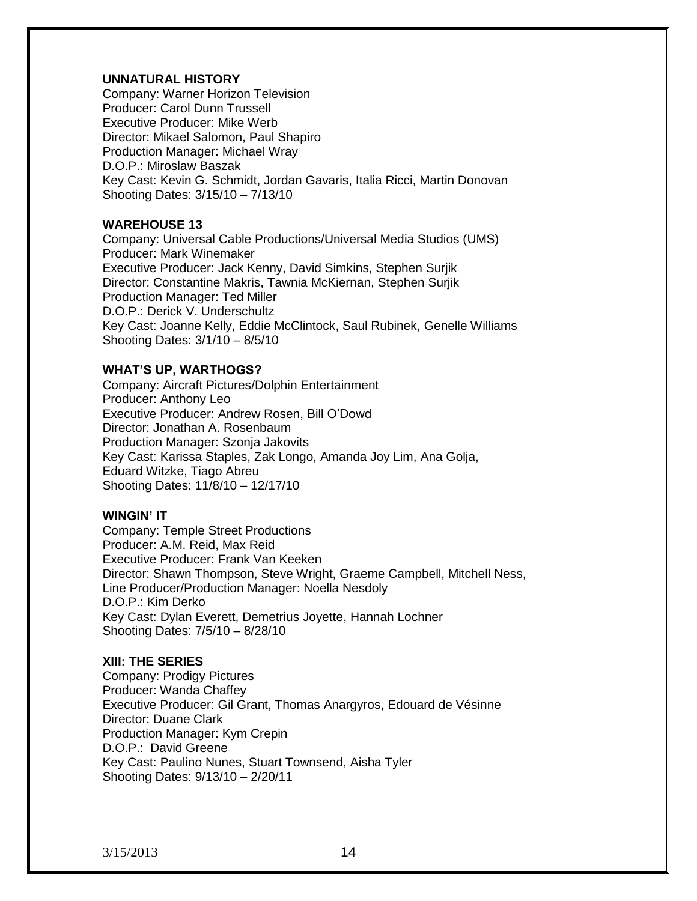#### **UNNATURAL HISTORY**

Company: Warner Horizon Television Producer: Carol Dunn Trussell Executive Producer: Mike Werb Director: Mikael Salomon, Paul Shapiro Production Manager: Michael Wray D.O.P.: Miroslaw Baszak Key Cast: Kevin G. Schmidt, Jordan Gavaris, Italia Ricci, Martin Donovan Shooting Dates: 3/15/10 – 7/13/10

#### **WAREHOUSE 13**

Company: Universal Cable Productions/Universal Media Studios (UMS) Producer: Mark Winemaker Executive Producer: Jack Kenny, David Simkins, Stephen Surjik Director: Constantine Makris, Tawnia McKiernan, Stephen Surjik Production Manager: Ted Miller D.O.P.: Derick V. Underschultz Key Cast: Joanne Kelly, Eddie McClintock, Saul Rubinek, Genelle Williams Shooting Dates: 3/1/10 – 8/5/10

#### **WHAT'S UP, WARTHOGS?**

Company: Aircraft Pictures/Dolphin Entertainment Producer: Anthony Leo Executive Producer: Andrew Rosen, Bill O'Dowd Director: Jonathan A. Rosenbaum Production Manager: Szonja Jakovits Key Cast: Karissa Staples, Zak Longo, Amanda Joy Lim, Ana Golja, Eduard Witzke, Tiago Abreu Shooting Dates: 11/8/10 – 12/17/10

#### **WINGIN' IT**

Company: Temple Street Productions Producer: A.M. Reid, Max Reid Executive Producer: Frank Van Keeken Director: Shawn Thompson, Steve Wright, Graeme Campbell, Mitchell Ness, Line Producer/Production Manager: Noella Nesdoly D.O.P.: Kim Derko Key Cast: Dylan Everett, Demetrius Joyette, Hannah Lochner Shooting Dates: 7/5/10 – 8/28/10

#### **XIII: THE SERIES**

Company: Prodigy Pictures Producer: Wanda Chaffey Executive Producer: Gil Grant, Thomas Anargyros, Edouard de Vésinne Director: Duane Clark Production Manager: Kym Crepin D.O.P.: David Greene Key Cast: Paulino Nunes, Stuart Townsend, Aisha Tyler Shooting Dates: 9/13/10 – 2/20/11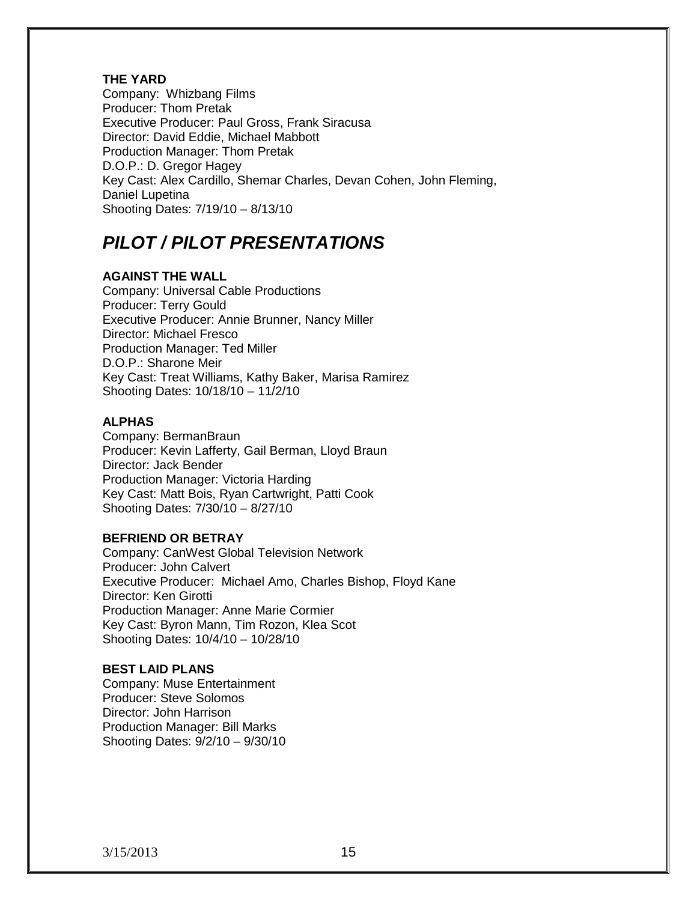#### **THE YARD**

Company: Whizbang Films Producer: Thom Pretak Executive Producer: Paul Gross, Frank Siracusa Director: David Eddie, Michael Mabbott Production Manager: Thom Pretak D.O.P.: D. Gregor Hagey Key Cast: Alex Cardillo, Shemar Charles, Devan Cohen, John Fleming, Daniel Lupetina Shooting Dates: 7/19/10 – 8/13/10

# *PILOT / PILOT PRESENTATIONS*

# **AGAINST THE WALL**

Company: Universal Cable Productions Producer: Terry Gould Executive Producer: Annie Brunner, Nancy Miller Director: Michael Fresco Production Manager: Ted Miller D.O.P.: Sharone Meir Key Cast: Treat Williams, Kathy Baker, Marisa Ramirez Shooting Dates: 10/18/10 – 11/2/10

#### **ALPHAS**

Company: BermanBraun Producer: Kevin Lafferty, Gail Berman, Lloyd Braun Director: Jack Bender Production Manager: Victoria Harding Key Cast: Matt Bois, Ryan Cartwright, Patti Cook Shooting Dates: 7/30/10 – 8/27/10

# **BEFRIEND OR BETRAY**

Company: CanWest Global Television Network Producer: John Calvert Executive Producer: Michael Amo, Charles Bishop, Floyd Kane Director: Ken Girotti Production Manager: Anne Marie Cormier Key Cast: Byron Mann, Tim Rozon, Klea Scot Shooting Dates: 10/4/10 – 10/28/10

#### **BEST LAID PLANS**

Company: Muse Entertainment Producer: Steve Solomos Director: John Harrison Production Manager: Bill Marks Shooting Dates: 9/2/10 – 9/30/10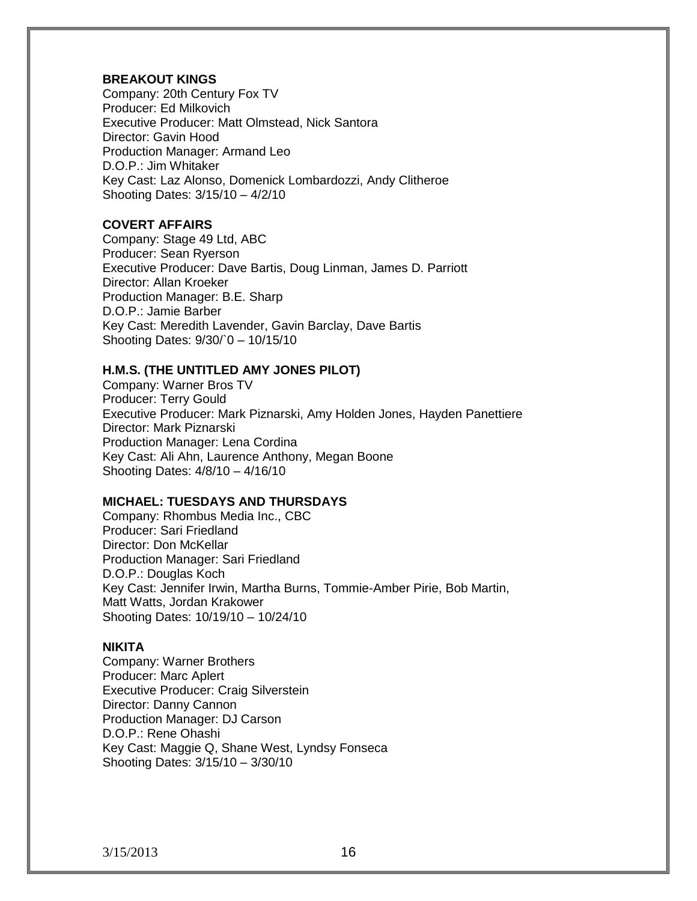#### **BREAKOUT KINGS**

Company: 20th Century Fox TV Producer: Ed Milkovich Executive Producer: Matt Olmstead, Nick Santora Director: Gavin Hood Production Manager: Armand Leo D.O.P.: Jim Whitaker Key Cast: Laz Alonso, Domenick Lombardozzi, Andy Clitheroe Shooting Dates: 3/15/10 – 4/2/10

# **COVERT AFFAIRS**

Company: Stage 49 Ltd, ABC Producer: Sean Ryerson Executive Producer: Dave Bartis, Doug Linman, James D. Parriott Director: Allan Kroeker Production Manager: B.E. Sharp D.O.P.: Jamie Barber Key Cast: Meredith Lavender, Gavin Barclay, Dave Bartis Shooting Dates: 9/30/`0 – 10/15/10

#### **H.M.S. (THE UNTITLED AMY JONES PILOT)**

Company: Warner Bros TV Producer: Terry Gould Executive Producer: Mark Piznarski, Amy Holden Jones, Hayden Panettiere Director: Mark Piznarski Production Manager: Lena Cordina Key Cast: Ali Ahn, Laurence Anthony, Megan Boone Shooting Dates: 4/8/10 – 4/16/10

#### **MICHAEL: TUESDAYS AND THURSDAYS**

Company: Rhombus Media Inc., CBC Producer: Sari Friedland Director: Don McKellar Production Manager: Sari Friedland D.O.P.: Douglas Koch Key Cast: Jennifer Irwin, Martha Burns, Tommie-Amber Pirie, Bob Martin, Matt Watts, Jordan Krakower Shooting Dates: 10/19/10 – 10/24/10

#### **NIKITA**

Company: Warner Brothers Producer: Marc Aplert Executive Producer: Craig Silverstein Director: Danny Cannon Production Manager: DJ Carson D.O.P.: Rene Ohashi Key Cast: Maggie Q, Shane West, Lyndsy Fonseca Shooting Dates: 3/15/10 – 3/30/10